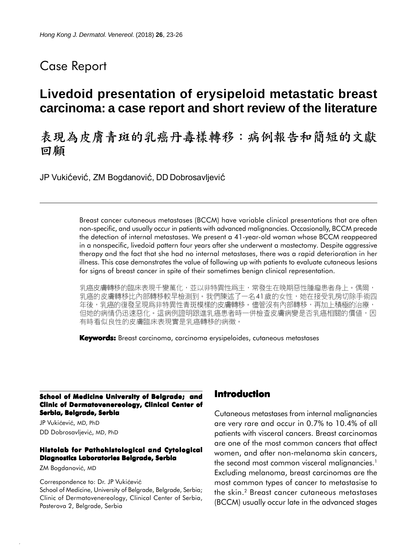## Case Report

# **Livedoid presentation of erysipeloid metastatic breast carcinoma: a case report and short review of the literature**

# 表現為皮膚青斑的乳癌丹毒樣轉移:病例報告和簡短的文獻 回顧

JP Vukićević, ZM Bogdanović, DD Dobrosavljević

Breast cancer cutaneous metastases (BCCM) have variable clinical presentations that are often non-specific, and usually occur in patients with advanced malignancies. Occasionally, BCCM precede the detection of internal metastases. We present a 41-year-old woman whose BCCM reappeared in a nonspecific, livedoid pattern four years after she underwent a mastectomy. Despite aggressive therapy and the fact that she had no internal metastases, there was a rapid deterioration in her illness. This case demonstrates the value of following up with patients to evaluate cutaneous lesions for signs of breast cancer in spite of their sometimes benign clinical representation.

乳癌皮膚轉移的臨床表現千變萬化,並以非特異性爲主,常發生在晚期惡性腫瘤患者身上。偶爾, 乳癌的皮膚轉移比內部轉移較早檢測到。我們陳述了一名41歲的女性,她在接受乳房切除手術四 年後,乳癌的復發呈現爲非特異性青斑模樣的皮膚轉移。儘管沒有內部轉移,再加上積極的治療, 但她的病情仍迅速惡化。這病例證明跟進乳癌患者時一併檢查皮膚病變是否乳癌相關的價值,因 有時看似良性的皮膚臨床表現實是乳癌轉移的病徵。

**Keywords:** Breast carcinoma, carcinoma erysipeloides, cutaneous metastases

**School of Medicine University of Belgrade; and Clinic of Dermatovenereology, Clinical Center of Serbia, Belgrade, Serbia**

JP Vukićević, MD, PhD DD Dobrosavljević, MD, PhD

#### **Histolab for Pathohistological and Cytological Diagnostics Laboratories Belgrade, Serbia**

ZM Bogdanović, MD

Correspondence to: Dr. JP Vukićević

School of Medicine, University of Belgrade, Belgrade, Serbia; Clinic of Dermatovenereology, Clinical Center of Serbia, Pasterova 2, Belgrade, Serbia

### **Introduction**

Cutaneous metastases from internal malignancies are very rare and occur in 0.7% to 10.4% of all patients with visceral cancers. Breast carcinomas are one of the most common cancers that affect women, and after non-melanoma skin cancers, the second most common visceral malignancies.<sup>1</sup> Excluding melanoma, breast carcinomas are the most common types of cancer to metastasise to the skin.2 Breast cancer cutaneous metastases (BCCM) usually occur late in the advanced stages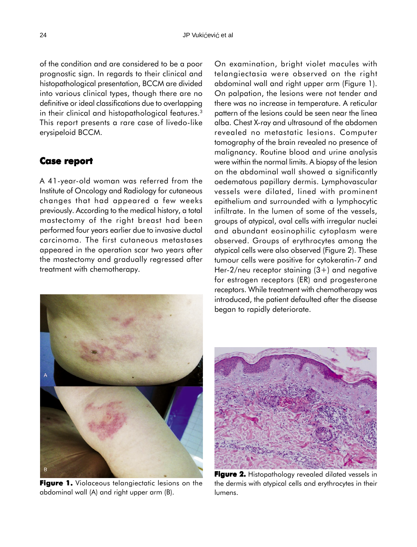of the condition and are considered to be a poor prognostic sign. In regards to their clinical and histopathological presentation, BCCM are divided into various clinical types, though there are no definitive or ideal classifications due to overlapping in their clinical and histopathological features.<sup>3</sup> This report presents a rare case of livedo-like erysipeloid BCCM.

### **Case report report**

A 41-year-old woman was referred from the Institute of Oncology and Radiology for cutaneous changes that had appeared a few weeks previously. According to the medical history, a total mastectomy of the right breast had been performed four years earlier due to invasive ductal carcinoma. The first cutaneous metastases appeared in the operation scar two years after the mastectomy and gradually regressed after treatment with chemotherapy.



**Figure 1.** Violaceous telangiectatic lesions on the abdominal wall (A) and right upper arm (B).

On examination, bright violet macules with telangiectasia were observed on the right abdominal wall and right upper arm (Figure 1). On palpation, the lesions were not tender and there was no increase in temperature. A reticular pattern of the lesions could be seen near the linea alba. Chest X-ray and ultrasound of the abdomen revealed no metastatic lesions. Computer tomography of the brain revealed no presence of malignancy. Routine blood and urine analysis were within the normal limits. A biopsy of the lesion on the abdominal wall showed a significantly oedematous papillary dermis. Lymphovascular vessels were dilated, lined with prominent epithelium and surrounded with a lymphocytic infiltrate. In the lumen of some of the vessels, groups of atypical, oval cells with irregular nuclei and abundant eosinophilic cytoplasm were observed. Groups of erythrocytes among the atypical cells were also observed (Figure 2). These tumour cells were positive for cytokeratin-7 and Her-2/neu receptor staining  $(3+)$  and negative for estrogen receptors (ER) and progesterone receptors. While treatment with chemotherapy was introduced, the patient defaulted after the disease began to rapidly deteriorate.



**Figure 2.** Histopathology revealed dilated vessels in the dermis with atypical cells and erythrocytes in their lumens.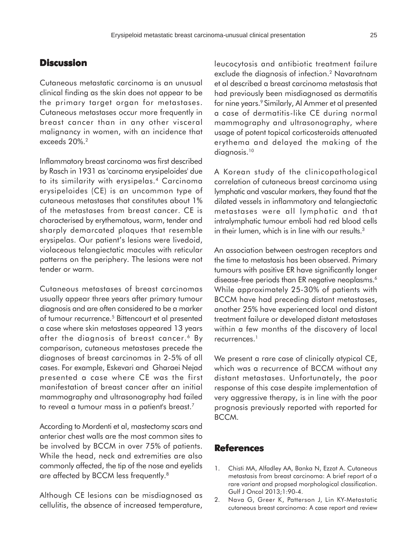### **Discussion**

Cutaneous metastatic carcinoma is an unusual clinical finding as the skin does not appear to be the primary target organ for metastases. Cutaneous metastases occur more frequently in breast cancer than in any other visceral malignancy in women, with an incidence that exceeds 20%.2

Inflammatory breast carcinoma was first described by Rasch in 1931 as 'carcinoma erysipeloides' due to its similarity with erysipelas.4 Carcinoma erysipeloides (CE) is an uncommon type of cutaneous metastases that constitutes about 1% of the metastases from breast cancer. CE is characterised by erythematous, warm, tender and sharply demarcated plaques that resemble erysipelas. Our patient's lesions were livedoid, violaceous telangiectatic macules with reticular patterns on the periphery. The lesions were not tender or warm.

Cutaneous metastases of breast carcinomas usually appear three years after primary tumour diagnosis and are often considered to be a marker of tumour recurrence.<sup>5</sup> Bittencourt et al presented a case where skin metastases appeared 13 years after the diagnosis of breast cancer.<sup>6</sup> By comparison, cutaneous metastases precede the diagnoses of breast carcinomas in 2-5% of all cases. For example, Eskevari and Gharaei Nejad presented a case where CE was the first manifestation of breast cancer after an initial mammography and ultrasonography had failed to reveal a tumour mass in a patient's breast.7

According to Mordenti et al, mastectomy scars and anterior chest walls are the most common sites to be involved by BCCM in over 75% of patients. While the head, neck and extremities are also commonly affected, the tip of the nose and eyelids are affected by BCCM less frequently.8

Although CE lesions can be misdiagnosed as cellulitis, the absence of increased temperature, leucocytosis and antibiotic treatment failure exclude the diagnosis of infection.2 Navaratnam et al described a breast carcinoma metastasis that had previously been misdiagnosed as dermatitis for nine years.<sup>9</sup> Similarly, Al Ammer et al presented a case of dermatitis-like CE during normal mammography and ultrasonography, where usage of potent topical corticosteroids attenuated erythema and delayed the making of the diagnosis.<sup>10</sup>

A Korean study of the clinicopathological correlation of cutaneous breast carcinoma using lymphatic and vascular markers, they found that the dilated vessels in inflammatory and telangiectatic metastases were all lymphatic and that intralymphatic tumour emboli had red blood cells in their lumen, which is in line with our results.<sup>3</sup>

An association between oestrogen receptors and the time to metastasis has been observed. Primary tumours with positive ER have significantly longer disease-free periods than ER negative neoplasms.<sup>6</sup> While approximately 25-30% of patients with BCCM have had preceding distant metastases, another 25% have experienced local and distant treatment failure or developed distant metastases within a few months of the discovery of local recurrences.<sup>1</sup>

We present a rare case of clinically atypical CE, which was a recurrence of BCCM without any distant metastases. Unfortunately, the poor response of this case despite implementation of very aggressive therapy, is in line with the poor prognosis previously reported with reported for BCCM.

### **References**

- 1. Chisti MA, Alfadley AA, Banka N, Ezzat A. Cutaneous metastasis from breast carcinoma: A brief report of a rare variant and propsed morphological classification. Gulf J Oncol 2013;1:90-4.
- 2. Nava G, Greer K, Patterson J, Lin KY-Metastatic cutaneous breast carcinoma: A case report and review